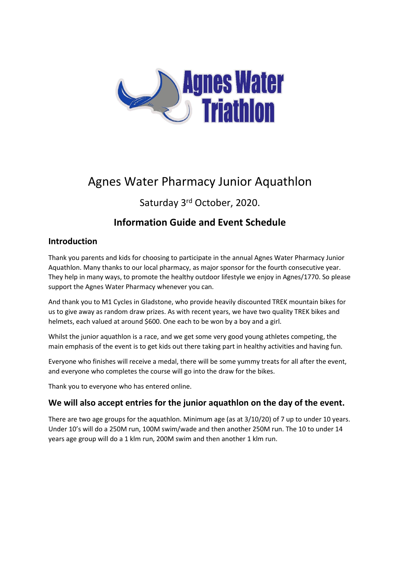

# Agnes Water Pharmacy Junior Aquathlon

## Saturday 3<sup>rd</sup> October, 2020.

## **Information Guide and Event Schedule**

## **Introduction**

Thank you parents and kids for choosing to participate in the annual Agnes Water Pharmacy Junior Aquathlon. Many thanks to our local pharmacy, as major sponsor for the fourth consecutive year. They help in many ways, to promote the healthy outdoor lifestyle we enjoy in Agnes/1770. So please support the Agnes Water Pharmacy whenever you can.

And thank you to M1 Cycles in Gladstone, who provide heavily discounted TREK mountain bikes for us to give away as random draw prizes. As with recent years, we have two quality TREK bikes and helmets, each valued at around \$600. One each to be won by a boy and a girl.

Whilst the junior aquathlon is a race, and we get some very good young athletes competing, the main emphasis of the event is to get kids out there taking part in healthy activities and having fun.

Everyone who finishes will receive a medal, there will be some yummy treats for all after the event, and everyone who completes the course will go into the draw for the bikes.

Thank you to everyone who has entered online.

## **We will also accept entries for the junior aquathlon on the day of the event.**

There are two age groups for the aquathlon. Minimum age (as at 3/10/20) of 7 up to under 10 years. Under 10's will do a 250M run, 100M swim/wade and then another 250M run. The 10 to under 14 years age group will do a 1 klm run, 200M swim and then another 1 klm run.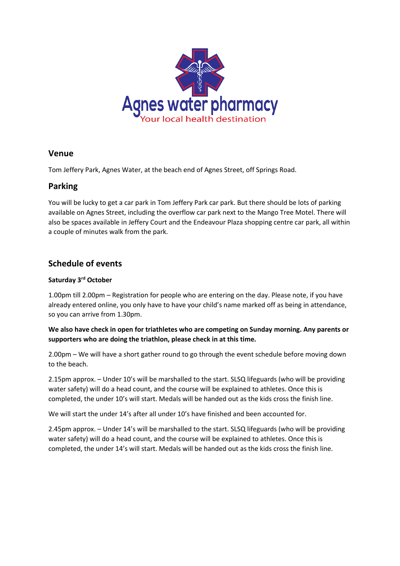

### **Venue**

Tom Jeffery Park, Agnes Water, at the beach end of Agnes Street, off Springs Road.

## **Parking**

You will be lucky to get a car park in Tom Jeffery Park car park. But there should be lots of parking available on Agnes Street, including the overflow car park next to the Mango Tree Motel. There will also be spaces available in Jeffery Court and the Endeavour Plaza shopping centre car park, all within a couple of minutes walk from the park.

## **Schedule of events**

#### **Saturday 3rd October**

1.00pm till 2.00pm – Registration for people who are entering on the day. Please note, if you have already entered online, you only have to have your child's name marked off as being in attendance, so you can arrive from 1.30pm.

#### **We also have check in open for triathletes who are competing on Sunday morning. Any parents or supporters who are doing the triathlon, please check in at this time.**

2.00pm – We will have a short gather round to go through the event schedule before moving down to the beach.

2.15pm approx. – Under 10's will be marshalled to the start. SLSQ lifeguards (who will be providing water safety) will do a head count, and the course will be explained to athletes. Once this is completed, the under 10's will start. Medals will be handed out as the kids cross the finish line.

We will start the under 14's after all under 10's have finished and been accounted for.

2.45pm approx. – Under 14's will be marshalled to the start. SLSQ lifeguards (who will be providing water safety) will do a head count, and the course will be explained to athletes. Once this is completed, the under 14's will start. Medals will be handed out as the kids cross the finish line.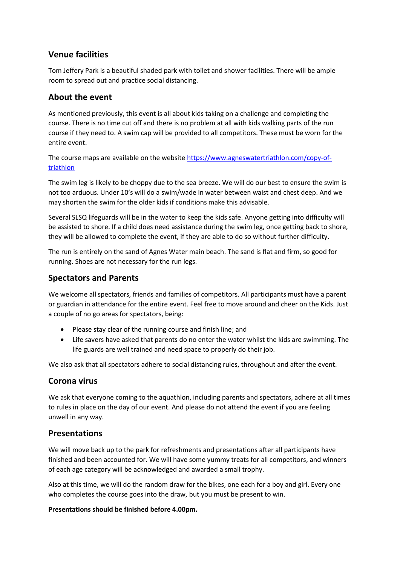## **Venue facilities**

Tom Jeffery Park is a beautiful shaded park with toilet and shower facilities. There will be ample room to spread out and practice social distancing.

## **About the event**

As mentioned previously, this event is all about kids taking on a challenge and completing the course. There is no time cut off and there is no problem at all with kids walking parts of the run course if they need to. A swim cap will be provided to all competitors. These must be worn for the entire event.

The course maps are available on the website [https://www.agneswatertriathlon.com/copy-of](https://www.agneswatertriathlon.com/copy-of-triathlon)[triathlon](https://www.agneswatertriathlon.com/copy-of-triathlon)

The swim leg is likely to be choppy due to the sea breeze. We will do our best to ensure the swim is not too arduous. Under 10's will do a swim/wade in water between waist and chest deep. And we may shorten the swim for the older kids if conditions make this advisable.

Several SLSQ lifeguards will be in the water to keep the kids safe. Anyone getting into difficulty will be assisted to shore. If a child does need assistance during the swim leg, once getting back to shore, they will be allowed to complete the event, if they are able to do so without further difficulty.

The run is entirely on the sand of Agnes Water main beach. The sand is flat and firm, so good for running. Shoes are not necessary for the run legs.

## **Spectators and Parents**

We welcome all spectators, friends and families of competitors. All participants must have a parent or guardian in attendance for the entire event. Feel free to move around and cheer on the Kids. Just a couple of no go areas for spectators, being:

- Please stay clear of the running course and finish line; and
- Life savers have asked that parents do no enter the water whilst the kids are swimming. The life guards are well trained and need space to properly do their job.

We also ask that all spectators adhere to social distancing rules, throughout and after the event.

## **Corona virus**

We ask that everyone coming to the aquathlon, including parents and spectators, adhere at all times to rules in place on the day of our event. And please do not attend the event if you are feeling unwell in any way.

## **Presentations**

We will move back up to the park for refreshments and presentations after all participants have finished and been accounted for. We will have some yummy treats for all competitors, and winners of each age category will be acknowledged and awarded a small trophy.

Also at this time, we will do the random draw for the bikes, one each for a boy and girl. Every one who completes the course goes into the draw, but you must be present to win.

#### **Presentations should be finished before 4.00pm.**